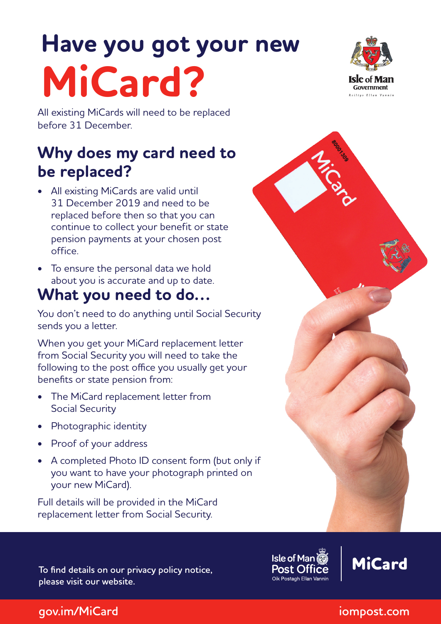# **Have you got your new MiCard?**



# **Why does my card need to be replaced?**

- All existing MiCards are valid until 31 December 2019 and need to be replaced before then so that you can continue to collect your benefit or state pension payments at your chosen post office.
- To ensure the personal data we hold about you is accurate and up to date.

## **What you need to do…**

You don't need to do anything until Social Security sends you a letter.

When you get your MiCard replacement letter from Social Security you will need to take the following to the post office you usually get your benefits or state pension from:

- The MiCard replacement letter from Social Security
- Photographic identity
- Proof of your address
- A completed Photo ID consent form (but only if you want to have your photograph printed on your new MiCard).

Full details will be provided in the MiCard replacement letter from Social Security.

**To find details on our privacy policy notice, please visit our website.**

**Isle of Man** Post Of Oik Postagh Ellan Vannir



### Government **Railers Eller Versio**

**gov.im/MiCard iompost.com**